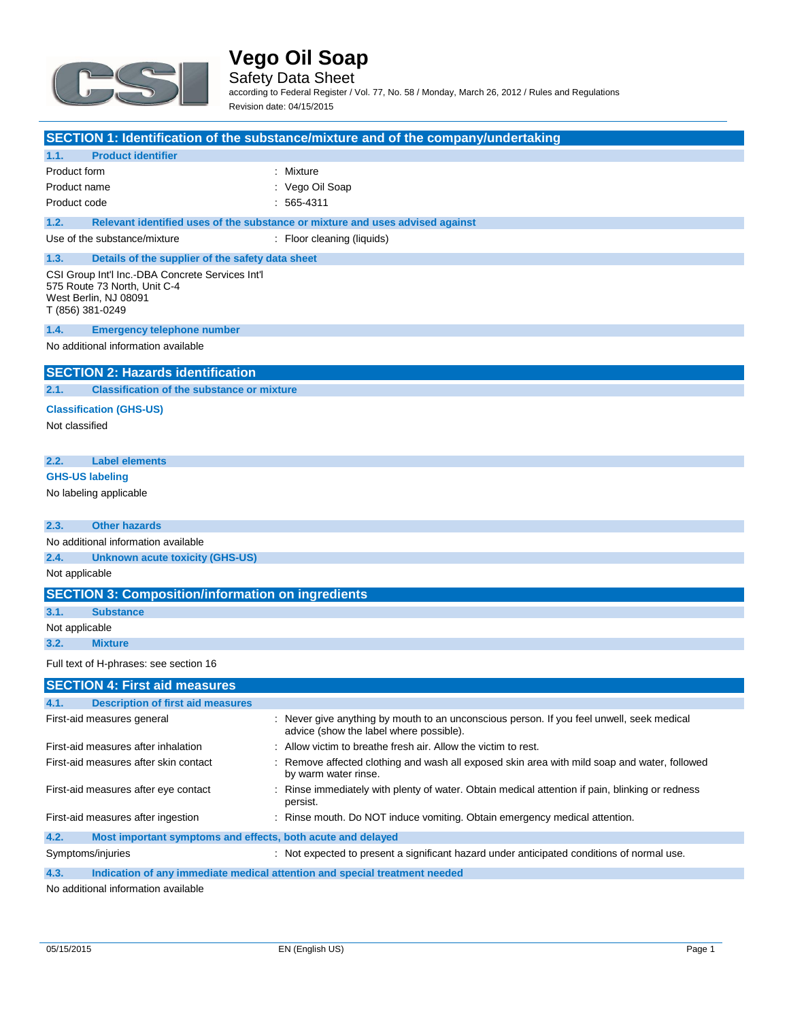

Safety Data Sheet according to Federal Register / Vol. 77, No. 58 / Monday, March 26, 2012 / Rules and Regulations

|                |                                                                                                                               | Revision date: 04/15/2015                                                                                                            |  |  |
|----------------|-------------------------------------------------------------------------------------------------------------------------------|--------------------------------------------------------------------------------------------------------------------------------------|--|--|
|                |                                                                                                                               | SECTION 1: Identification of the substance/mixture and of the company/undertaking                                                    |  |  |
| 1.1.           | <b>Product identifier</b>                                                                                                     |                                                                                                                                      |  |  |
| Product form   |                                                                                                                               | : Mixture                                                                                                                            |  |  |
| Product name   |                                                                                                                               | : Vego Oil Soap                                                                                                                      |  |  |
| Product code   |                                                                                                                               | $: 565-4311$                                                                                                                         |  |  |
| 1.2.           |                                                                                                                               | Relevant identified uses of the substance or mixture and uses advised against                                                        |  |  |
|                | Use of the substance/mixture                                                                                                  | : Floor cleaning (liquids)                                                                                                           |  |  |
| 1.3.           | Details of the supplier of the safety data sheet                                                                              |                                                                                                                                      |  |  |
|                | CSI Group Int'l Inc.-DBA Concrete Services Int'l<br>575 Route 73 North, Unit C-4<br>West Berlin, NJ 08091<br>T (856) 381-0249 |                                                                                                                                      |  |  |
| 1.4.           | <b>Emergency telephone number</b>                                                                                             |                                                                                                                                      |  |  |
|                | No additional information available                                                                                           |                                                                                                                                      |  |  |
|                | <b>SECTION 2: Hazards identification</b>                                                                                      |                                                                                                                                      |  |  |
| 2.1.           | <b>Classification of the substance or mixture</b>                                                                             |                                                                                                                                      |  |  |
|                | <b>Classification (GHS-US)</b>                                                                                                |                                                                                                                                      |  |  |
| Not classified |                                                                                                                               |                                                                                                                                      |  |  |
| 2.2.           | <b>Label elements</b>                                                                                                         |                                                                                                                                      |  |  |
|                | <b>GHS-US labeling</b>                                                                                                        |                                                                                                                                      |  |  |
|                | No labeling applicable                                                                                                        |                                                                                                                                      |  |  |
| 2.3.           | <b>Other hazards</b>                                                                                                          |                                                                                                                                      |  |  |
|                | No additional information available                                                                                           |                                                                                                                                      |  |  |
| 2.4.           | <b>Unknown acute toxicity (GHS-US)</b>                                                                                        |                                                                                                                                      |  |  |
| Not applicable |                                                                                                                               |                                                                                                                                      |  |  |
|                | <b>SECTION 3: Composition/information on ingredients</b>                                                                      |                                                                                                                                      |  |  |
| 3.1.           | <b>Substance</b>                                                                                                              |                                                                                                                                      |  |  |
| Not applicable |                                                                                                                               |                                                                                                                                      |  |  |
| 3.2.           | <b>Mixture</b>                                                                                                                |                                                                                                                                      |  |  |
|                | Full text of H-phrases: see section 16                                                                                        |                                                                                                                                      |  |  |
|                | <b>SECTION 4: First aid measures</b>                                                                                          |                                                                                                                                      |  |  |
| 4.1.           | <b>Description of first aid measures</b>                                                                                      |                                                                                                                                      |  |  |
|                | First-aid measures general                                                                                                    | : Never give anything by mouth to an unconscious person. If you feel unwell, seek medical<br>advice (show the label where possible). |  |  |
|                | First-aid measures after inhalation                                                                                           | Allow victim to breathe fresh air. Allow the victim to rest.                                                                         |  |  |
|                | First-aid measures after skin contact                                                                                         | Remove affected clothing and wash all exposed skin area with mild soap and water, followed<br>by warm water rinse.                   |  |  |
|                | First-aid measures after eye contact                                                                                          | : Rinse immediately with plenty of water. Obtain medical attention if pain, blinking or redness<br>persist.                          |  |  |
|                | First-aid measures after ingestion                                                                                            | : Rinse mouth. Do NOT induce vomiting. Obtain emergency medical attention.                                                           |  |  |

**4.2. Most important symptoms and effects, both acute and delayed**

Symptoms/injuries **interpreted to present a significant hazard under anticipated conditions of normal use.** 

**4.3. Indication of any immediate medical attention and special treatment needed**

No additional information available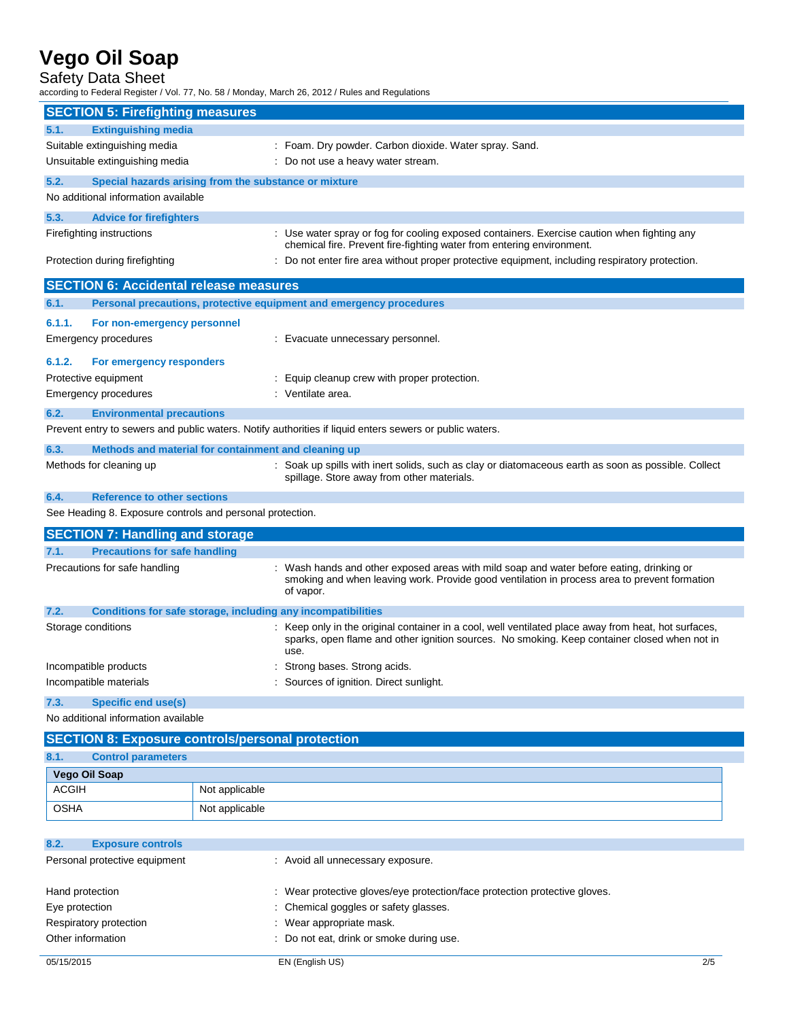### Safety Data Sheet

according to Federal Register / Vol. 77, No. 58 / Monday, March 26, 2012 / Rules and Regulations

| <b>SECTION 5: Firefighting measures</b>                                                                 |                                                                                                                                                                                                              |  |
|---------------------------------------------------------------------------------------------------------|--------------------------------------------------------------------------------------------------------------------------------------------------------------------------------------------------------------|--|
| <b>Extinguishing media</b><br>5.1.                                                                      |                                                                                                                                                                                                              |  |
| Suitable extinguishing media                                                                            | : Foam. Dry powder. Carbon dioxide. Water spray. Sand.                                                                                                                                                       |  |
| Unsuitable extinguishing media                                                                          | : Do not use a heavy water stream.                                                                                                                                                                           |  |
| 5.2.<br>Special hazards arising from the substance or mixture                                           |                                                                                                                                                                                                              |  |
| No additional information available                                                                     |                                                                                                                                                                                                              |  |
| 5.3.<br><b>Advice for firefighters</b>                                                                  |                                                                                                                                                                                                              |  |
| Firefighting instructions                                                                               | : Use water spray or fog for cooling exposed containers. Exercise caution when fighting any<br>chemical fire. Prevent fire-fighting water from entering environment.                                         |  |
| Protection during firefighting                                                                          | : Do not enter fire area without proper protective equipment, including respiratory protection.                                                                                                              |  |
| <b>SECTION 6: Accidental release measures</b>                                                           |                                                                                                                                                                                                              |  |
| Personal precautions, protective equipment and emergency procedures<br>6.1.                             |                                                                                                                                                                                                              |  |
| 6.1.1.<br>For non-emergency personnel                                                                   |                                                                                                                                                                                                              |  |
| <b>Emergency procedures</b>                                                                             | : Evacuate unnecessary personnel.                                                                                                                                                                            |  |
| 6.1.2.<br>For emergency responders                                                                      |                                                                                                                                                                                                              |  |
| Protective equipment                                                                                    | : Equip cleanup crew with proper protection.                                                                                                                                                                 |  |
| <b>Emergency procedures</b>                                                                             | : Ventilate area.                                                                                                                                                                                            |  |
| 6.2.<br><b>Environmental precautions</b>                                                                |                                                                                                                                                                                                              |  |
| Prevent entry to sewers and public waters. Notify authorities if liquid enters sewers or public waters. |                                                                                                                                                                                                              |  |
| Methods and material for containment and cleaning up<br>6.3.                                            |                                                                                                                                                                                                              |  |
| Methods for cleaning up                                                                                 | : Soak up spills with inert solids, such as clay or diatomaceous earth as soon as possible. Collect<br>spillage. Store away from other materials.                                                            |  |
| <b>Reference to other sections</b><br>6.4.                                                              |                                                                                                                                                                                                              |  |
| See Heading 8. Exposure controls and personal protection.                                               |                                                                                                                                                                                                              |  |
| <b>SECTION 7: Handling and storage</b>                                                                  |                                                                                                                                                                                                              |  |
| <b>Precautions for safe handling</b><br>7.1.                                                            |                                                                                                                                                                                                              |  |
| Precautions for safe handling                                                                           | Wash hands and other exposed areas with mild soap and water before eating, drinking or<br>smoking and when leaving work. Provide good ventilation in process area to prevent formation<br>of vapor.          |  |
| 7.2.<br>Conditions for safe storage, including any incompatibilities                                    |                                                                                                                                                                                                              |  |
| Storage conditions                                                                                      | : Keep only in the original container in a cool, well ventilated place away from heat, hot surfaces,<br>sparks, open flame and other ignition sources. No smoking. Keep container closed when not in<br>use. |  |
| Incompatible products                                                                                   | Strong bases. Strong acids.                                                                                                                                                                                  |  |
| Incompatible materials                                                                                  | Sources of ignition. Direct sunlight.                                                                                                                                                                        |  |
| 7.3.<br>Specific end use(s)                                                                             |                                                                                                                                                                                                              |  |
| No additional information available                                                                     |                                                                                                                                                                                                              |  |
| <b>SECTION 8: Exposure controls/personal protection</b>                                                 |                                                                                                                                                                                                              |  |
| 8.1.<br><b>Control parameters</b>                                                                       |                                                                                                                                                                                                              |  |

| $\mathbf{v}$ . I.<br><b>UUITUU PALAHIGIGI S</b> |                |  |
|-------------------------------------------------|----------------|--|
| Vego Oil Soap                                   |                |  |
| ACGIH                                           | Not applicable |  |
| <b>OSHA</b>                                     | Not applicable |  |

| 8.2.                          | <b>Exposure controls</b> |                                                                            |     |
|-------------------------------|--------------------------|----------------------------------------------------------------------------|-----|
| Personal protective equipment |                          | : Avoid all unnecessary exposure.                                          |     |
|                               | Hand protection          | : Wear protective gloves/eye protection/face protection protective gloves. |     |
| Eye protection                |                          | : Chemical goggles or safety glasses.                                      |     |
|                               | Respiratory protection   | : Wear appropriate mask.                                                   |     |
|                               | Other information        | : Do not eat, drink or smoke during use.                                   |     |
| 05/15/2015                    |                          | EN (English US)                                                            | 2/5 |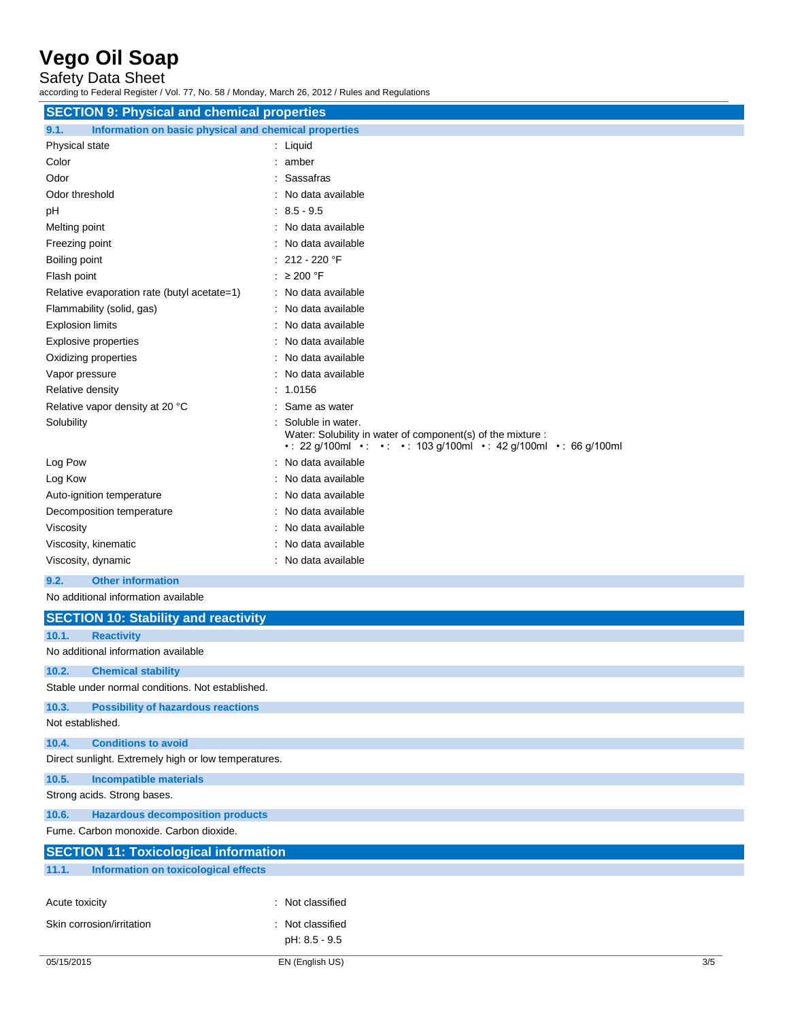Safety Data Sheet

according to Federal Register / Vol. 77, No. 58 / Monday, March 26, 2012 / Rules and Regulations

| <b>SECTION 9: Physical and chemical properties</b>            |                                                                                                                                                          |  |  |
|---------------------------------------------------------------|----------------------------------------------------------------------------------------------------------------------------------------------------------|--|--|
| Information on basic physical and chemical properties<br>9.1. |                                                                                                                                                          |  |  |
| Physical state                                                | : Liquid                                                                                                                                                 |  |  |
| Color                                                         | : amber                                                                                                                                                  |  |  |
| Odor                                                          | : Sassafras                                                                                                                                              |  |  |
| Odor threshold                                                | No data available                                                                                                                                        |  |  |
| pH                                                            | $: 8.5 - 9.5$                                                                                                                                            |  |  |
| Melting point                                                 | : No data available                                                                                                                                      |  |  |
| Freezing point                                                | No data available                                                                                                                                        |  |  |
| Boiling point                                                 | 212 - 220 °F                                                                                                                                             |  |  |
| Flash point                                                   | : $\geq 200$ °F                                                                                                                                          |  |  |
| Relative evaporation rate (butyl acetate=1)                   | : No data available                                                                                                                                      |  |  |
| Flammability (solid, gas)                                     | : No data available                                                                                                                                      |  |  |
| <b>Explosion limits</b>                                       | No data available                                                                                                                                        |  |  |
| Explosive properties                                          | No data available                                                                                                                                        |  |  |
| Oxidizing properties                                          | : No data available                                                                                                                                      |  |  |
| Vapor pressure                                                | No data available                                                                                                                                        |  |  |
| Relative density                                              | 1.0156                                                                                                                                                   |  |  |
| Relative vapor density at 20 °C                               | Same as water                                                                                                                                            |  |  |
| Solubility                                                    | Soluble in water.<br>Water: Solubility in water of component(s) of the mixture :<br>• : 22 g/100ml • : • : • : 103 g/100ml • : 42 g/100ml • : 66 g/100ml |  |  |
| Log Pow                                                       | No data available                                                                                                                                        |  |  |
| Log Kow                                                       | No data available                                                                                                                                        |  |  |
| Auto-ignition temperature                                     | No data available                                                                                                                                        |  |  |
| Decomposition temperature                                     | No data available                                                                                                                                        |  |  |
| Viscosity                                                     | : No data available                                                                                                                                      |  |  |
| Viscosity, kinematic                                          | No data available                                                                                                                                        |  |  |
| Viscosity, dynamic                                            | : No data available                                                                                                                                      |  |  |
| <b>Other information</b><br>9.2.                              |                                                                                                                                                          |  |  |
| No additional information available                           |                                                                                                                                                          |  |  |
| <b>SECTION 10: Stability and reactivity</b>                   |                                                                                                                                                          |  |  |
| 10.1.<br><b>Reactivity</b>                                    |                                                                                                                                                          |  |  |
| No additional information available                           |                                                                                                                                                          |  |  |

|                                                      | <u>ino additional information available</u>  |                  |  |     |
|------------------------------------------------------|----------------------------------------------|------------------|--|-----|
| 10.2.                                                | <b>Chemical stability</b>                    |                  |  |     |
| Stable under normal conditions. Not established.     |                                              |                  |  |     |
| 10.3.                                                | <b>Possibility of hazardous reactions</b>    |                  |  |     |
|                                                      | Not established.                             |                  |  |     |
| 10.4.                                                | <b>Conditions to avoid</b>                   |                  |  |     |
| Direct sunlight. Extremely high or low temperatures. |                                              |                  |  |     |
| 10.5.                                                | <b>Incompatible materials</b>                |                  |  |     |
|                                                      | Strong acids. Strong bases.                  |                  |  |     |
| 10.6.                                                | <b>Hazardous decomposition products</b>      |                  |  |     |
| Fume, Carbon monoxide, Carbon dioxide,               |                                              |                  |  |     |
|                                                      | <b>SECTION 11: Toxicological information</b> |                  |  |     |
| 11.1.<br><b>Information on toxicological effects</b> |                                              |                  |  |     |
|                                                      |                                              |                  |  |     |
| Acute toxicity                                       |                                              | : Not classified |  |     |
|                                                      | Skin corrosion/irritation                    | : Not classified |  |     |
|                                                      |                                              | pH: 8.5 - 9.5    |  |     |
| 05/15/2015                                           |                                              | EN (English US)  |  | 3/5 |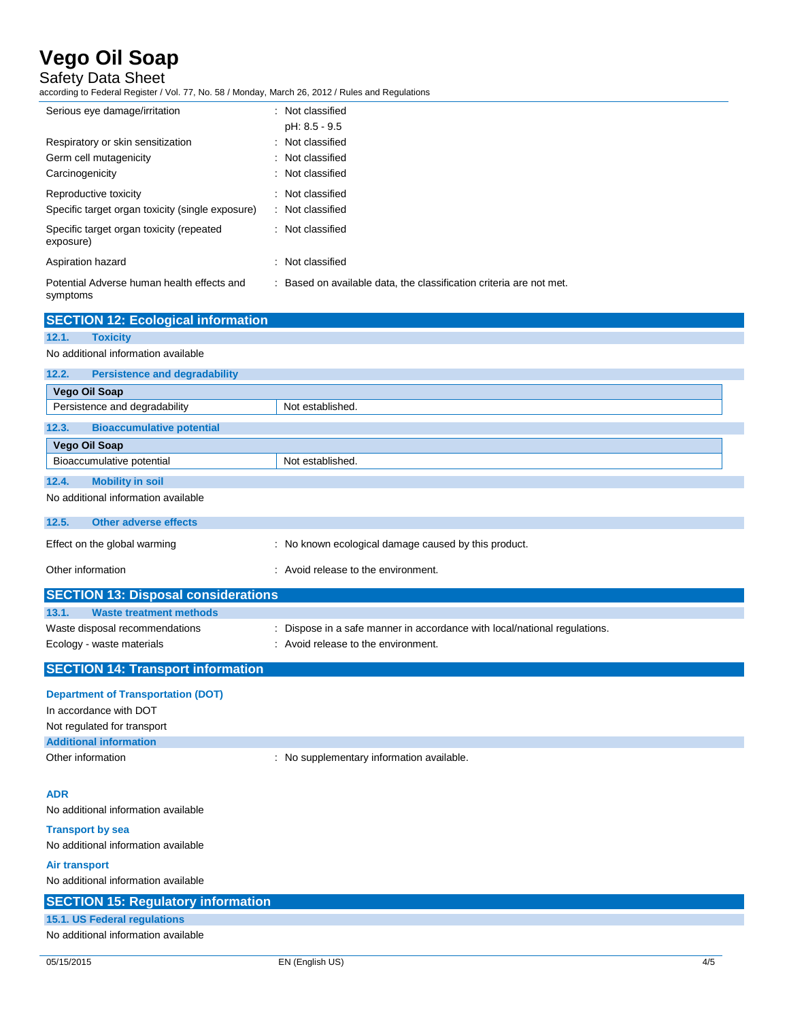Safety Data Sheet

according to Federal Register / Vol. 77, No. 58 / Monday, March 26, 2012 / Rules and Regulations

| Serious eye damage/irritation                          | : Not classified                                                    |
|--------------------------------------------------------|---------------------------------------------------------------------|
|                                                        | pH: 8.5 - 9.5                                                       |
| Respiratory or skin sensitization                      | : Not classified                                                    |
| Germ cell mutagenicity                                 | : Not classified                                                    |
| Carcinogenicity                                        | : Not classified                                                    |
| Reproductive toxicity                                  | : Not classified                                                    |
| Specific target organ toxicity (single exposure)       | : Not classified                                                    |
| Specific target organ toxicity (repeated<br>exposure)  | : Not classified                                                    |
| Aspiration hazard                                      | Not classified                                                      |
| Potential Adverse human health effects and<br>symptoms | : Based on available data, the classification criteria are not met. |
| <b>SECTION 12: Ecological information</b>              |                                                                     |

| <b>Toxicity</b><br>12.1.                      |                                                      |
|-----------------------------------------------|------------------------------------------------------|
| No additional information available           |                                                      |
| <b>Persistence and degradability</b><br>12.2. |                                                      |
| Vego Oil Soap                                 |                                                      |
| Persistence and degradability                 | Not established.                                     |
| <b>Bioaccumulative potential</b><br>12.3.     |                                                      |
| Vego Oil Soap                                 |                                                      |
| Bioaccumulative potential                     | Not established.                                     |
| 12.4.<br><b>Mobility in soil</b>              |                                                      |
| No additional information available           |                                                      |
| <b>Other adverse effects</b><br>12.5.         |                                                      |
| Effect on the global warming                  | : No known ecological damage caused by this product. |
| Other information                             | : Avoid release to the environment.                  |
| <b>CECTION 12: Disposal considerations</b>    |                                                      |

| <b>SECTION 13: Disposal considerations</b>                  |                                                                                                                  |  |  |
|-------------------------------------------------------------|------------------------------------------------------------------------------------------------------------------|--|--|
| 13.1.<br>Waste treatment methods                            |                                                                                                                  |  |  |
| Waste disposal recommendations<br>Ecology - waste materials | : Dispose in a safe manner in accordance with local/national regulations.<br>: Avoid release to the environment. |  |  |
| <b>SECTION 14: Transport information</b>                    |                                                                                                                  |  |  |

| <b>Department of Transportation (DOT)</b> |                                         |
|-------------------------------------------|-----------------------------------------|
| In accordance with DOT                    |                                         |
| Not regulated for transport               |                                         |
| <b>Additional information</b>             |                                         |
| Other information                         | No supplementary information available. |

### **ADR**

No additional information available

#### **Transport by sea** No additional information available

**Air transport**

No additional information available

| <b>SECTION 15: Regulatory information</b> |  |  |
|-------------------------------------------|--|--|
| 15.1. US Federal regulations              |  |  |
| No additional information available       |  |  |